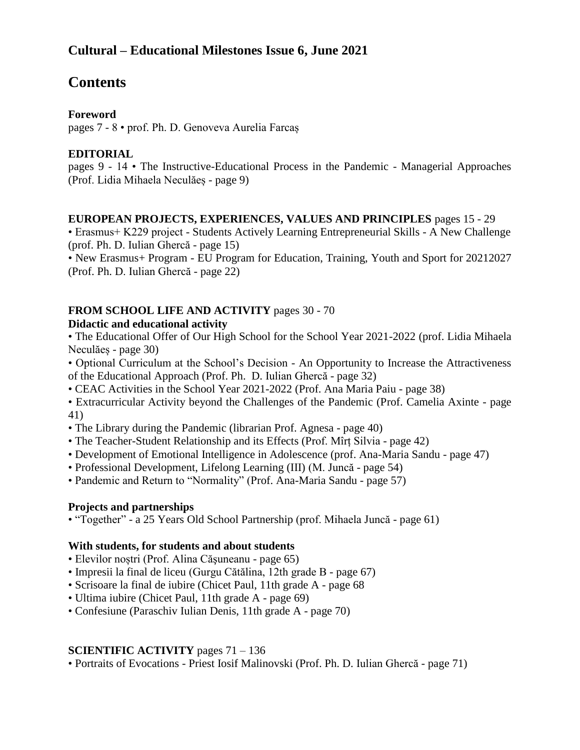## **Cultural – Educational Milestones Issue 6, June 2021**

# **Contents**

#### **Foreword**

pages 7 - 8 • prof. Ph. D. Genoveva Aurelia Farcaș

#### **EDITORIAL**

pages 9 - 14 • The Instructive-Educational Process in the Pandemic - Managerial Approaches (Prof. Lidia Mihaela Neculăeș - page 9)

#### **EUROPEAN PROJECTS, EXPERIENCES, VALUES AND PRINCIPLES** pages 15 - 29

• Erasmus+ K229 project - Students Actively Learning Entrepreneurial Skills - A New Challenge (prof. Ph. D. Iulian Ghercă - page 15)

• New Erasmus+ Program - EU Program for Education, Training, Youth and Sport for 20212027 (Prof. Ph. D. Iulian Ghercă - page 22)

## **FROM SCHOOL LIFE AND ACTIVITY** pages 30 - 70

#### **Didactic and educational activity**

• The Educational Offer of Our High School for the School Year 2021-2022 (prof. Lidia Mihaela Neculăeș - page 30)

• Optional Curriculum at the School's Decision - An Opportunity to Increase the Attractiveness of the Educational Approach (Prof. Ph. D. Iulian Ghercă - page 32)

• CEAC Activities in the School Year 2021-2022 (Prof. Ana Maria Paiu - page 38)

• Extracurricular Activity beyond the Challenges of the Pandemic (Prof. Camelia Axinte - page 41)

- The Library during the Pandemic (librarian Prof. Agnesa page 40)
- The Teacher-Student Relationship and its Effects (Prof. Mîrț Silvia page 42)
- Development of Emotional Intelligence in Adolescence (prof. Ana-Maria Sandu page 47)
- Professional Development, Lifelong Learning (III) (M. Juncă page 54)
- Pandemic and Return to "Normality" (Prof. Ana-Maria Sandu page 57)

#### **Projects and partnerships**

• "Together" - a 25 Years Old School Partnership (prof. Mihaela Juncă - page 61)

#### **With students, for students and about students**

- Elevilor noștri (Prof. Alina Căşuneanu page 65)
- Impresii la final de liceu (Gurgu Cătălina, 12th grade B page 67)
- Scrisoare la final de iubire (Chicet Paul, 11th grade A page 68
- Ultima iubire (Chicet Paul, 11th grade A page 69)
- Confesiune (Paraschiv Iulian Denis, 11th grade A page 70)

#### **SCIENTIFIC ACTIVITY** pages 71 – 136

• Portraits of Evocations - Priest Iosif Malinovski (Prof. Ph. D. Iulian Ghercă - page 71)